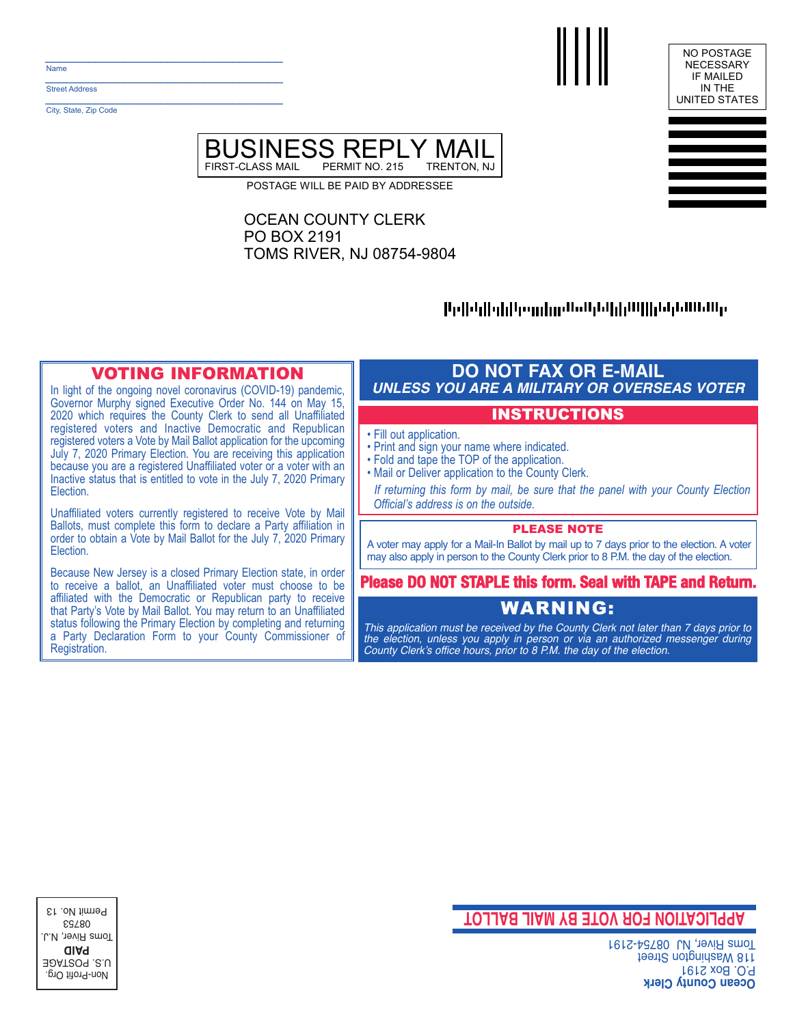$\mathcal{L}$  , we have the set of the set of the set of the set of the set of the set of the set of the set of the set of the set of the set of the set of the set of the set of the set of the set of the set of the set of the Name

\_\_\_\_\_\_\_\_\_\_\_\_\_\_\_\_\_\_\_\_\_\_\_\_\_\_\_\_\_\_\_\_\_ Street Address

City, State, Zip Code

 $\mathcal{L}_\text{max}$  and  $\mathcal{L}_\text{max}$  and  $\mathcal{L}_\text{max}$  and  $\mathcal{L}_\text{max}$ 





POSTAGE WILL BE PAID BY ADDRESSEE

## OCEAN COUNTY CLERK PO BOX 2191 TOMS RIVER, NJ 08754-9804

# |Եբ||սկ||գի||դորդիրը։ՄաՍգնվկի||||ինկն/Ան/Ալ

## VOTING INFORMATION

In light of the ongoing novel coronavirus (COVID-19) pandemic, Governor Murphy signed Executive Order No. 144 on May 15, 2020 which requires the County Clerk to send all Unaffiliated registered voters and Inactive Democratic and Republican registered voters a Vote by Mail Ballot application for the upcoming July 7, 2020 Primary Election. You are receiving this application because you are a registered Unaffiliated voter or a voter with an Inactive status that is entitled to vote in the July 7, 2020 Primary Election.

Unaffiliated voters currently registered to receive Vote by Mail Ballots, must complete this form to declare a Party affiliation in order to obtain a Vote by Mail Ballot for the July 7, 2020 Primary Election.

Because New Jersey is a closed Primary Election state, in order to receive a ballot, an Unaffiliated voter must choose to be affiliated with the Democratic or Republican party to receive that Party's Vote by Mail Ballot. You may return to an Unaffiliated status following the Primary Election by completing and returning a Party Declaration Form to your County Commissioner of Registration.

## **DO NOT FAX OR E-MAIL** *UNLESS YOU ARE A MILITARY OR OVERSEAS VOTER*

#### INSTRUCTIONS

- Fill out application.
- Print and sign your name where indicated.
- Fold and tape the TOP of the application.
- Mail or Deliver application to the County Clerk.

*If returning this form by mail, be sure that the panel with your County Election Official's address is on the outside.*

### PLEASE NOTE

A voter may apply for a Mail-In Ballot by mail up to 7 days prior to the election. A voter may also apply in person to the County Clerk prior to 8 P.M. the day of the election.

### **Please DO NOT STAPLE this form. Seal with TAPE and Return.**

# WARNING:

*This application must be received by the County Clerk not later than 7 days prior to the election, unless you apply in person or via an authorized messenger during County Clerk's office hours, prior to 8 P.M. the day of the election.*

**DAFICATION FOR VOTE BY MAIL BALLOT** 

**Dcean County Clerk 1912 xoB. O. P.** teent S not gine Street 1911 River, NJ 08754-2191